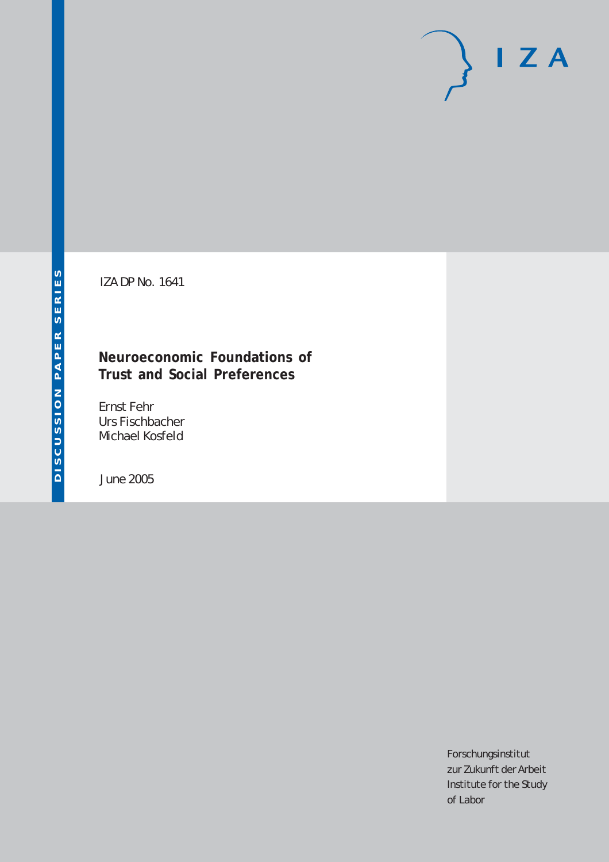# $I Z A$

IZA DP No. 1641

# **Neuroeconomic Foundations of Trust and Social Preferences**

Ernst Fehr Urs Fischbacher Michael Kosfeld

June 2005

Forschungsinstitut zur Zukunft der Arbeit Institute for the Study of Labor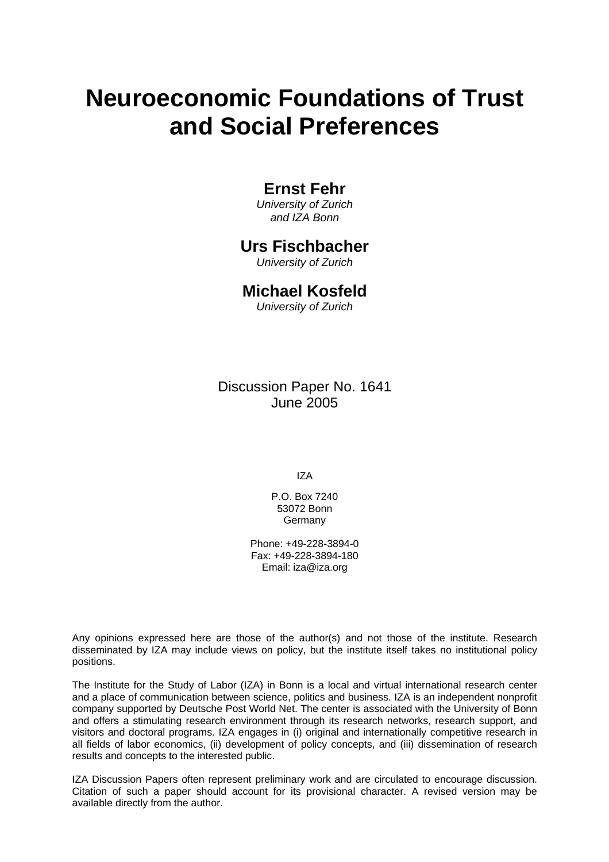# **Neuroeconomic Foundations of Trust and Social Preferences**

# **Ernst Fehr**

*University of Zurich and IZA Bonn* 

# **Urs Fischbacher**

*University of Zurich* 

## **Michael Kosfeld**

*University of Zurich* 

Discussion Paper No. 1641 June 2005

IZA

P.O. Box 7240 53072 Bonn **Germany** 

Phone: +49-228-3894-0 Fax: +49-228-3894-180 Email: [iza@iza.org](mailto:iza@iza.org)

Any opinions expressed here are those of the author(s) and not those of the institute. Research disseminated by IZA may include views on policy, but the institute itself takes no institutional policy positions.

The Institute for the Study of Labor (IZA) in Bonn is a local and virtual international research center and a place of communication between science, politics and business. IZA is an independent nonprofit company supported by Deutsche Post World Net. The center is associated with the University of Bonn and offers a stimulating research environment through its research networks, research support, and visitors and doctoral programs. IZA engages in (i) original and internationally competitive research in all fields of labor economics, (ii) development of policy concepts, and (iii) dissemination of research results and concepts to the interested public.

IZA Discussion Papers often represent preliminary work and are circulated to encourage discussion. Citation of such a paper should account for its provisional character. A revised version may be available directly from the author.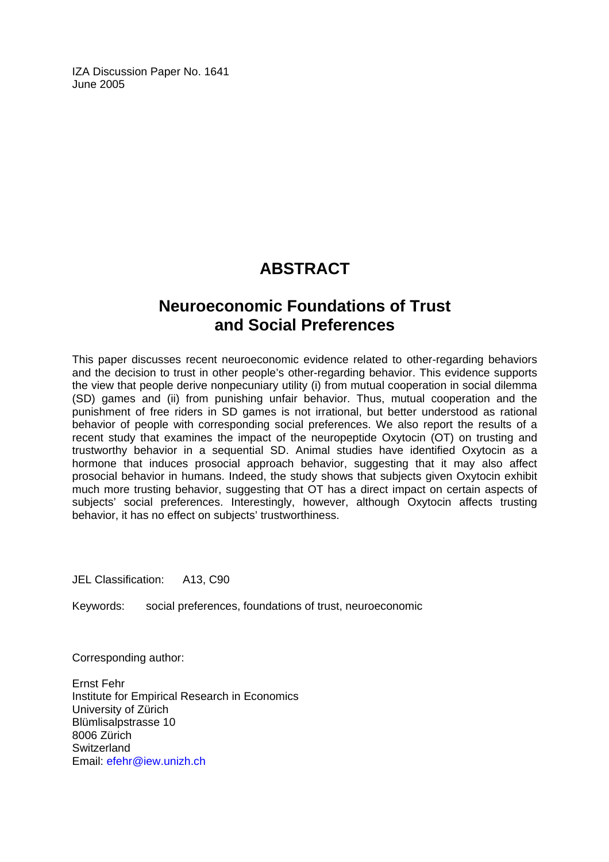IZA Discussion Paper No. 1641 June 2005

# **ABSTRACT**

# **Neuroeconomic Foundations of Trust and Social Preferences**

This paper discusses recent neuroeconomic evidence related to other-regarding behaviors and the decision to trust in other people's other-regarding behavior. This evidence supports the view that people derive nonpecuniary utility (i) from mutual cooperation in social dilemma (SD) games and (ii) from punishing unfair behavior. Thus, mutual cooperation and the punishment of free riders in SD games is not irrational, but better understood as rational behavior of people with corresponding social preferences. We also report the results of a recent study that examines the impact of the neuropeptide Oxytocin (OT) on trusting and trustworthy behavior in a sequential SD. Animal studies have identified Oxytocin as a hormone that induces prosocial approach behavior, suggesting that it may also affect prosocial behavior in humans. Indeed, the study shows that subjects given Oxytocin exhibit much more trusting behavior, suggesting that OT has a direct impact on certain aspects of subjects' social preferences. Interestingly, however, although Oxytocin affects trusting behavior, it has no effect on subjects' trustworthiness.

JEL Classification: A13, C90

Keywords: social preferences, foundations of trust, neuroeconomic

Corresponding author:

Ernst Fehr Institute for Empirical Research in Economics University of Zürich Blümlisalpstrasse 10 8006 Zürich **Switzerland** Email: [efehr@iew.unizh.ch](mailto:efehr@iew.unizh.ch)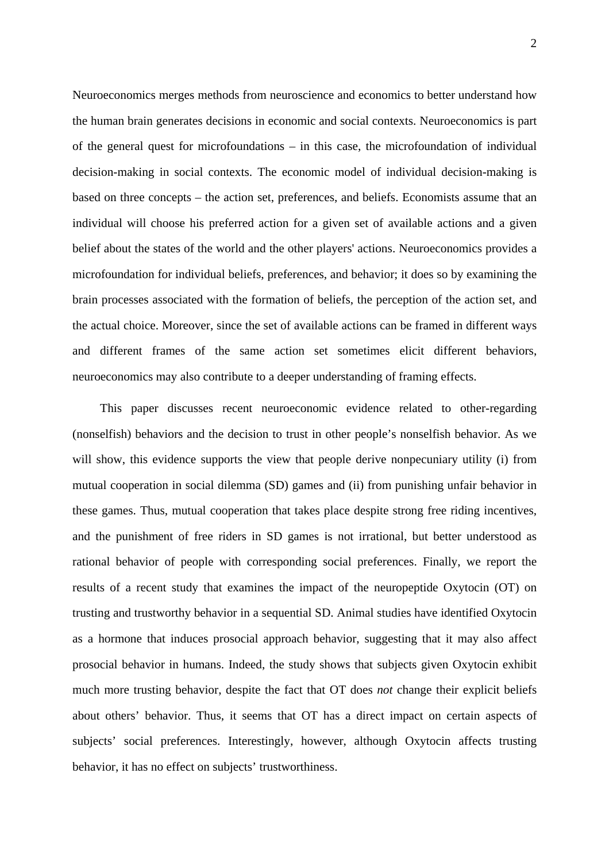Neuroeconomics merges methods from neuroscience and economics to better understand how the human brain generates decisions in economic and social contexts. Neuroeconomics is part of the general quest for microfoundations – in this case, the microfoundation of individual decision-making in social contexts. The economic model of individual decision-making is based on three concepts – the action set, preferences, and beliefs. Economists assume that an individual will choose his preferred action for a given set of available actions and a given belief about the states of the world and the other players' actions. Neuroeconomics provides a microfoundation for individual beliefs, preferences, and behavior; it does so by examining the brain processes associated with the formation of beliefs, the perception of the action set, and the actual choice. Moreover, since the set of available actions can be framed in different ways and different frames of the same action set sometimes elicit different behaviors, neuroeconomics may also contribute to a deeper understanding of framing effects.

This paper discusses recent neuroeconomic evidence related to other-regarding (nonselfish) behaviors and the decision to trust in other people's nonselfish behavior. As we will show, this evidence supports the view that people derive nonpecuniary utility (i) from mutual cooperation in social dilemma (SD) games and (ii) from punishing unfair behavior in these games. Thus, mutual cooperation that takes place despite strong free riding incentives, and the punishment of free riders in SD games is not irrational, but better understood as rational behavior of people with corresponding social preferences. Finally, we report the results of a recent study that examines the impact of the neuropeptide Oxytocin (OT) on trusting and trustworthy behavior in a sequential SD. Animal studies have identified Oxytocin as a hormone that induces prosocial approach behavior, suggesting that it may also affect prosocial behavior in humans. Indeed, the study shows that subjects given Oxytocin exhibit much more trusting behavior, despite the fact that OT does *not* change their explicit beliefs about others' behavior. Thus, it seems that OT has a direct impact on certain aspects of subjects' social preferences. Interestingly, however, although Oxytocin affects trusting behavior, it has no effect on subjects' trustworthiness.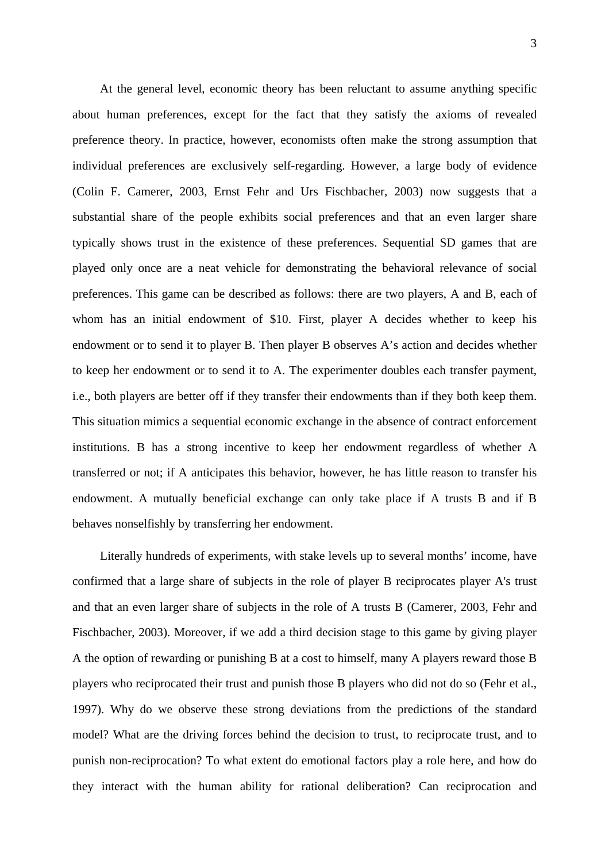At the general level, economic theory has been reluctant to assume anything specific about human preferences, except for the fact that they satisfy the axioms of revealed preference theory. In practice, however, economists often make the strong assumption that individual preferences are exclusively self-regarding. However, a large body of evidence (Colin F. Camerer, 2003, Ernst Fehr and Urs Fischbacher, 2003) now suggests that a substantial share of the people exhibits social preferences and that an even larger share typically shows trust in the existence of these preferences. Sequential SD games that are played only once are a neat vehicle for demonstrating the behavioral relevance of social preferences. This game can be described as follows: there are two players, A and B, each of whom has an initial endowment of \$10. First, player A decides whether to keep his endowment or to send it to player B. Then player B observes A's action and decides whether to keep her endowment or to send it to A. The experimenter doubles each transfer payment, i.e., both players are better off if they transfer their endowments than if they both keep them. This situation mimics a sequential economic exchange in the absence of contract enforcement institutions. B has a strong incentive to keep her endowment regardless of whether A transferred or not; if A anticipates this behavior, however, he has little reason to transfer his endowment. A mutually beneficial exchange can only take place if A trusts B and if B behaves nonselfishly by transferring her endowment.

Literally hundreds of experiments, with stake levels up to several months' income, have confirmed that a large share of subjects in the role of player B reciprocates player A's trust and that an even larger share of subjects in the role of A trusts B (Camerer, 2003, Fehr and Fischbacher, 2003). Moreover, if we add a third decision stage to this game by giving player A the option of rewarding or punishing B at a cost to himself, many A players reward those B players who reciprocated their trust and punish those B players who did not do so (Fehr et al., 1997). Why do we observe these strong deviations from the predictions of the standard model? What are the driving forces behind the decision to trust, to reciprocate trust, and to punish non-reciprocation? To what extent do emotional factors play a role here, and how do they interact with the human ability for rational deliberation? Can reciprocation and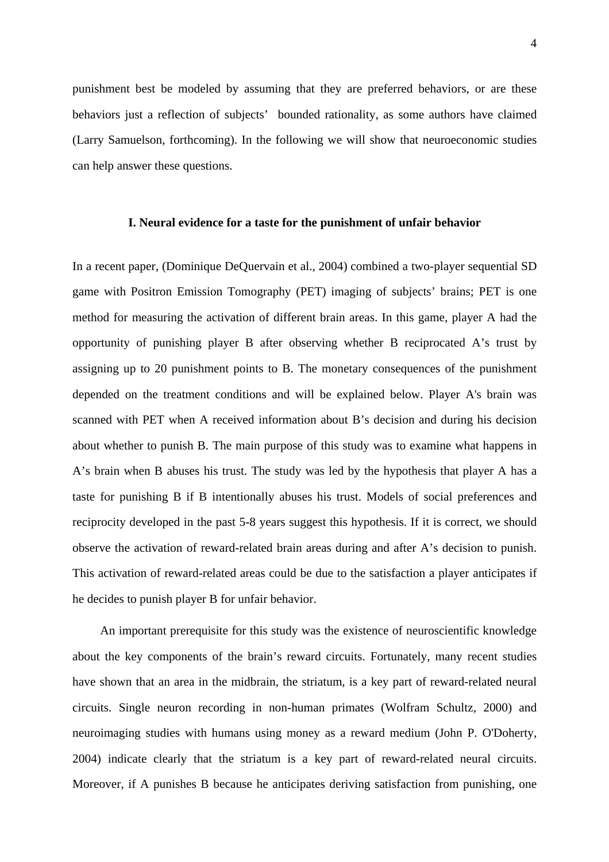punishment best be modeled by assuming that they are preferred behaviors, or are these behaviors just a reflection of subjects' bounded rationality, as some authors have claimed (Larry Samuelson, forthcoming). In the following we will show that neuroeconomic studies can help answer these questions.

### **I. Neural evidence for a taste for the punishment of unfair behavior**

In a recent paper, (Dominique DeQuervain et al., 2004) combined a two-player sequential SD game with Positron Emission Tomography (PET) imaging of subjects' brains; PET is one method for measuring the activation of different brain areas. In this game, player A had the opportunity of punishing player B after observing whether B reciprocated A's trust by assigning up to 20 punishment points to B. The monetary consequences of the punishment depended on the treatment conditions and will be explained below. Player A's brain was scanned with PET when A received information about B's decision and during his decision about whether to punish B. The main purpose of this study was to examine what happens in A's brain when B abuses his trust. The study was led by the hypothesis that player A has a taste for punishing B if B intentionally abuses his trust. Models of social preferences and reciprocity developed in the past 5-8 years suggest this hypothesis. If it is correct, we should observe the activation of reward-related brain areas during and after A's decision to punish. This activation of reward-related areas could be due to the satisfaction a player anticipates if he decides to punish player B for unfair behavior.

An important prerequisite for this study was the existence of neuroscientific knowledge about the key components of the brain's reward circuits. Fortunately, many recent studies have shown that an area in the midbrain, the striatum, is a key part of reward-related neural circuits. Single neuron recording in non-human primates (Wolfram Schultz, 2000) and neuroimaging studies with humans using money as a reward medium (John P. O'Doherty, 2004) indicate clearly that the striatum is a key part of reward-related neural circuits. Moreover, if A punishes B because he anticipates deriving satisfaction from punishing, one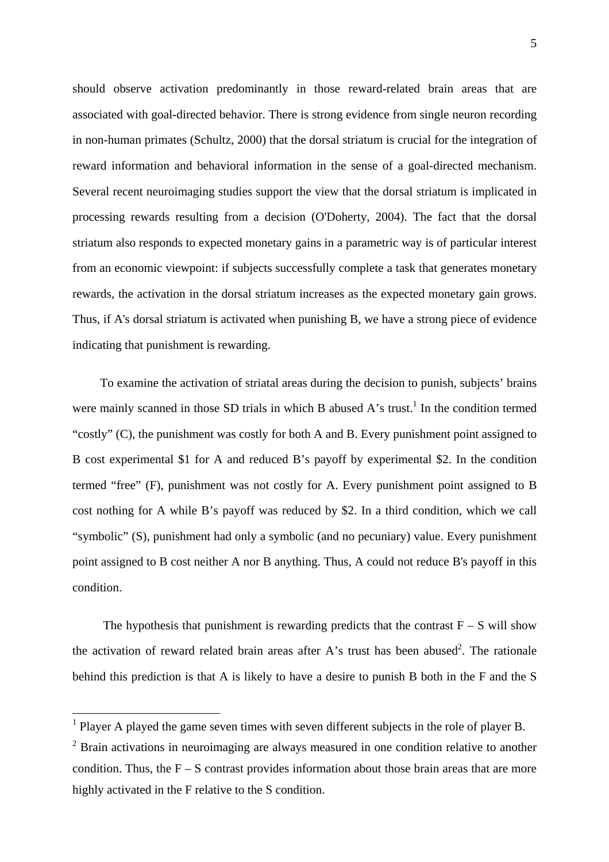should observe activation predominantly in those reward-related brain areas that are associated with goal-directed behavior. There is strong evidence from single neuron recording in non-human primates (Schultz, 2000) that the dorsal striatum is crucial for the integration of reward information and behavioral information in the sense of a goal-directed mechanism. Several recent neuroimaging studies support the view that the dorsal striatum is implicated in processing rewards resulting from a decision (O'Doherty, 2004). The fact that the dorsal striatum also responds to expected monetary gains in a parametric way is of particular interest from an economic viewpoint: if subjects successfully complete a task that generates monetary rewards, the activation in the dorsal striatum increases as the expected monetary gain grows. Thus, if A's dorsal striatum is activated when punishing B, we have a strong piece of evidence indicating that punishment is rewarding.

To examine the activation of striatal areas during the decision to punish, subjects' brains were mainly scanned in those SD trials in which B abused A's trust.<sup>1</sup> In the condition termed "costly" (C), the punishment was costly for both A and B. Every punishment point assigned to B cost experimental \$1 for A and reduced B's payoff by experimental \$2. In the condition termed "free" (F), punishment was not costly for A. Every punishment point assigned to B cost nothing for A while B's payoff was reduced by \$2. In a third condition, which we call "symbolic" (S), punishment had only a symbolic (and no pecuniary) value. Every punishment point assigned to B cost neither A nor B anything. Thus, A could not reduce B's payoff in this condition.

The hypothesis that punishment is rewarding predicts that the contrast  $F - S$  will show the activation of reward related brain areas after A's trust has been abused<sup>2</sup>. The rationale behind this prediction is that A is likely to have a desire to punish B both in the F and the S

1

<sup>&</sup>lt;sup>1</sup> Player A played the game seven times with seven different subjects in the role of player B.

 $2$  Brain activations in neuroimaging are always measured in one condition relative to another condition. Thus, the  $F - S$  contrast provides information about those brain areas that are more highly activated in the F relative to the S condition.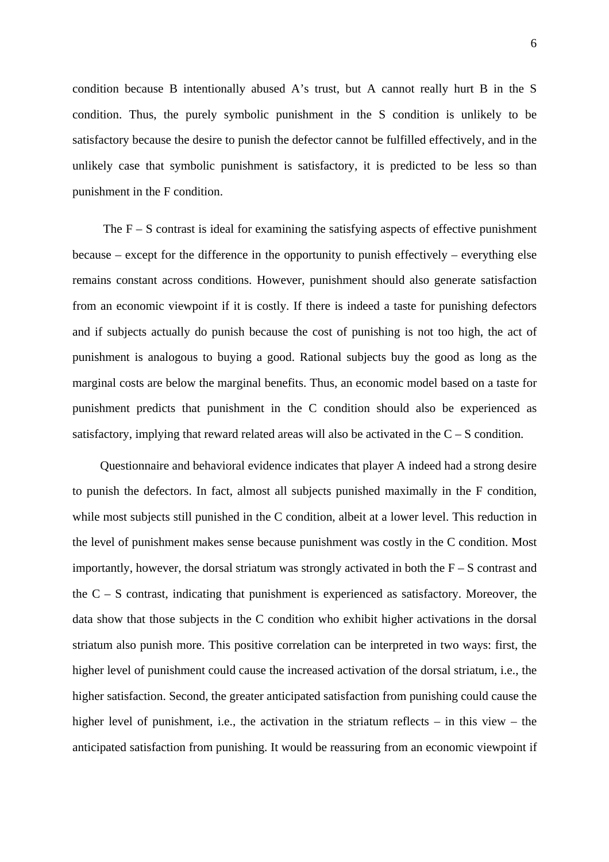condition because B intentionally abused A's trust, but A cannot really hurt B in the S condition. Thus, the purely symbolic punishment in the S condition is unlikely to be satisfactory because the desire to punish the defector cannot be fulfilled effectively, and in the unlikely case that symbolic punishment is satisfactory, it is predicted to be less so than punishment in the F condition.

The  $F - S$  contrast is ideal for examining the satisfying aspects of effective punishment because – except for the difference in the opportunity to punish effectively – everything else remains constant across conditions. However, punishment should also generate satisfaction from an economic viewpoint if it is costly. If there is indeed a taste for punishing defectors and if subjects actually do punish because the cost of punishing is not too high, the act of punishment is analogous to buying a good. Rational subjects buy the good as long as the marginal costs are below the marginal benefits. Thus, an economic model based on a taste for punishment predicts that punishment in the C condition should also be experienced as satisfactory, implying that reward related areas will also be activated in the  $C - S$  condition.

Questionnaire and behavioral evidence indicates that player A indeed had a strong desire to punish the defectors. In fact, almost all subjects punished maximally in the F condition, while most subjects still punished in the C condition, albeit at a lower level. This reduction in the level of punishment makes sense because punishment was costly in the C condition. Most importantly, however, the dorsal striatum was strongly activated in both the  $F - S$  contrast and the  $C - S$  contrast, indicating that punishment is experienced as satisfactory. Moreover, the data show that those subjects in the C condition who exhibit higher activations in the dorsal striatum also punish more. This positive correlation can be interpreted in two ways: first, the higher level of punishment could cause the increased activation of the dorsal striatum, i.e., the higher satisfaction. Second, the greater anticipated satisfaction from punishing could cause the higher level of punishment, i.e., the activation in the striatum reflects – in this view – the anticipated satisfaction from punishing. It would be reassuring from an economic viewpoint if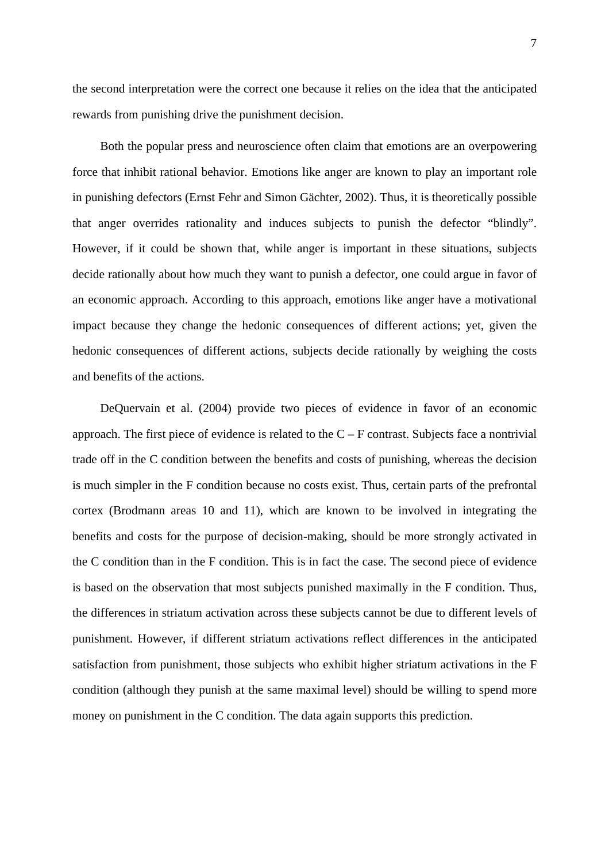the second interpretation were the correct one because it relies on the idea that the anticipated rewards from punishing drive the punishment decision.

Both the popular press and neuroscience often claim that emotions are an overpowering force that inhibit rational behavior. Emotions like anger are known to play an important role in punishing defectors (Ernst Fehr and Simon Gächter, 2002). Thus, it is theoretically possible that anger overrides rationality and induces subjects to punish the defector "blindly". However, if it could be shown that, while anger is important in these situations, subjects decide rationally about how much they want to punish a defector, one could argue in favor of an economic approach. According to this approach, emotions like anger have a motivational impact because they change the hedonic consequences of different actions; yet, given the hedonic consequences of different actions, subjects decide rationally by weighing the costs and benefits of the actions.

DeQuervain et al. (2004) provide two pieces of evidence in favor of an economic approach. The first piece of evidence is related to the  $C - F$  contrast. Subjects face a nontrivial trade off in the C condition between the benefits and costs of punishing, whereas the decision is much simpler in the F condition because no costs exist. Thus, certain parts of the prefrontal cortex (Brodmann areas 10 and 11), which are known to be involved in integrating the benefits and costs for the purpose of decision-making, should be more strongly activated in the C condition than in the F condition. This is in fact the case. The second piece of evidence is based on the observation that most subjects punished maximally in the F condition. Thus, the differences in striatum activation across these subjects cannot be due to different levels of punishment. However, if different striatum activations reflect differences in the anticipated satisfaction from punishment, those subjects who exhibit higher striatum activations in the F condition (although they punish at the same maximal level) should be willing to spend more money on punishment in the C condition. The data again supports this prediction.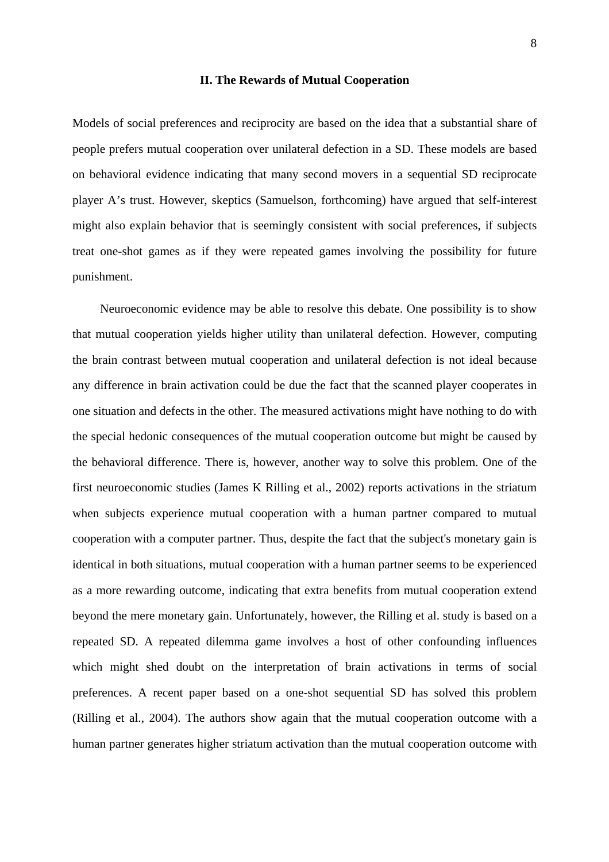### **II. The Rewards of Mutual Cooperation**

Models of social preferences and reciprocity are based on the idea that a substantial share of people prefers mutual cooperation over unilateral defection in a SD. These models are based on behavioral evidence indicating that many second movers in a sequential SD reciprocate player A's trust. However, skeptics (Samuelson, forthcoming) have argued that self-interest might also explain behavior that is seemingly consistent with social preferences, if subjects treat one-shot games as if they were repeated games involving the possibility for future punishment.

Neuroeconomic evidence may be able to resolve this debate. One possibility is to show that mutual cooperation yields higher utility than unilateral defection. However, computing the brain contrast between mutual cooperation and unilateral defection is not ideal because any difference in brain activation could be due the fact that the scanned player cooperates in one situation and defects in the other. The measured activations might have nothing to do with the special hedonic consequences of the mutual cooperation outcome but might be caused by the behavioral difference. There is, however, another way to solve this problem. One of the first neuroeconomic studies (James K Rilling et al., 2002) reports activations in the striatum when subjects experience mutual cooperation with a human partner compared to mutual cooperation with a computer partner. Thus, despite the fact that the subject's monetary gain is identical in both situations, mutual cooperation with a human partner seems to be experienced as a more rewarding outcome, indicating that extra benefits from mutual cooperation extend beyond the mere monetary gain. Unfortunately, however, the Rilling et al. study is based on a repeated SD. A repeated dilemma game involves a host of other confounding influences which might shed doubt on the interpretation of brain activations in terms of social preferences. A recent paper based on a one-shot sequential SD has solved this problem (Rilling et al., 2004). The authors show again that the mutual cooperation outcome with a human partner generates higher striatum activation than the mutual cooperation outcome with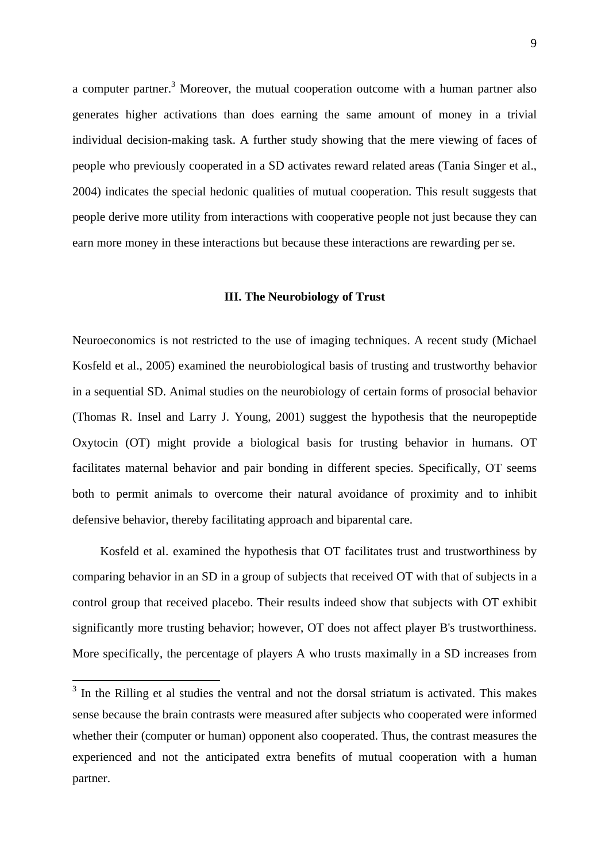a computer partner.<sup>3</sup> Moreover, the mutual cooperation outcome with a human partner also generates higher activations than does earning the same amount of money in a trivial individual decision-making task. A further study showing that the mere viewing of faces of people who previously cooperated in a SD activates reward related areas (Tania Singer et al., 2004) indicates the special hedonic qualities of mutual cooperation. This result suggests that people derive more utility from interactions with cooperative people not just because they can earn more money in these interactions but because these interactions are rewarding per se.

### **III. The Neurobiology of Trust**

Neuroeconomics is not restricted to the use of imaging techniques. A recent study (Michael Kosfeld et al., 2005) examined the neurobiological basis of trusting and trustworthy behavior in a sequential SD. Animal studies on the neurobiology of certain forms of prosocial behavior (Thomas R. Insel and Larry J. Young, 2001) suggest the hypothesis that the neuropeptide Oxytocin (OT) might provide a biological basis for trusting behavior in humans. OT facilitates maternal behavior and pair bonding in different species. Specifically, OT seems both to permit animals to overcome their natural avoidance of proximity and to inhibit defensive behavior, thereby facilitating approach and biparental care.

Kosfeld et al. examined the hypothesis that OT facilitates trust and trustworthiness by comparing behavior in an SD in a group of subjects that received OT with that of subjects in a control group that received placebo. Their results indeed show that subjects with OT exhibit significantly more trusting behavior; however, OT does not affect player B's trustworthiness. More specifically, the percentage of players A who trusts maximally in a SD increases from

<sup>&</sup>lt;sup>3</sup> In the Rilling et al studies the ventral and not the dorsal striatum is activated. This makes sense because the brain contrasts were measured after subjects who cooperated were informed whether their (computer or human) opponent also cooperated. Thus, the contrast measures the experienced and not the anticipated extra benefits of mutual cooperation with a human partner.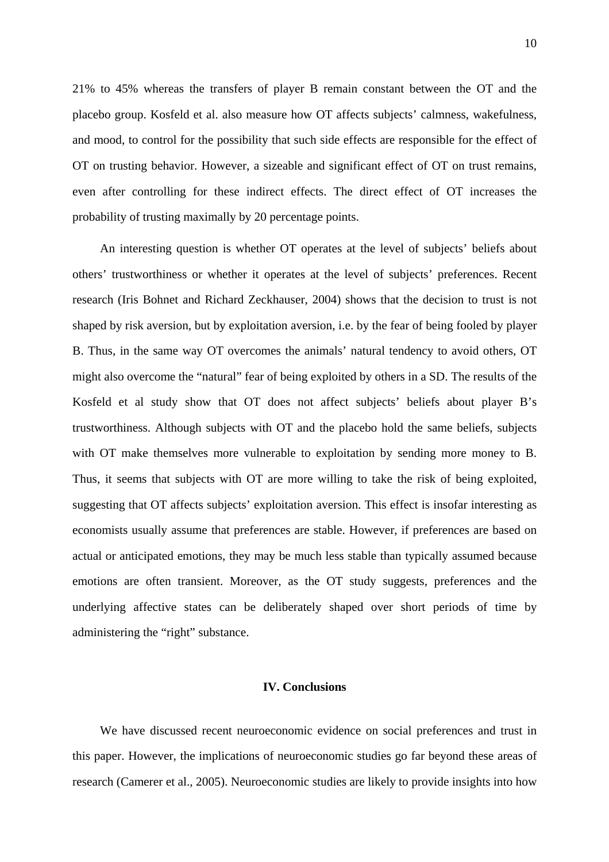21% to 45% whereas the transfers of player B remain constant between the OT and the placebo group. Kosfeld et al. also measure how OT affects subjects' calmness, wakefulness, and mood, to control for the possibility that such side effects are responsible for the effect of OT on trusting behavior. However, a sizeable and significant effect of OT on trust remains, even after controlling for these indirect effects. The direct effect of OT increases the probability of trusting maximally by 20 percentage points.

An interesting question is whether OT operates at the level of subjects' beliefs about others' trustworthiness or whether it operates at the level of subjects' preferences. Recent research (Iris Bohnet and Richard Zeckhauser, 2004) shows that the decision to trust is not shaped by risk aversion, but by exploitation aversion, i.e. by the fear of being fooled by player B. Thus, in the same way OT overcomes the animals' natural tendency to avoid others, OT might also overcome the "natural" fear of being exploited by others in a SD. The results of the Kosfeld et al study show that OT does not affect subjects' beliefs about player B's trustworthiness. Although subjects with OT and the placebo hold the same beliefs, subjects with OT make themselves more vulnerable to exploitation by sending more money to B. Thus, it seems that subjects with OT are more willing to take the risk of being exploited, suggesting that OT affects subjects' exploitation aversion. This effect is insofar interesting as economists usually assume that preferences are stable. However, if preferences are based on actual or anticipated emotions, they may be much less stable than typically assumed because emotions are often transient. Moreover, as the OT study suggests, preferences and the underlying affective states can be deliberately shaped over short periods of time by administering the "right" substance.

### **IV. Conclusions**

We have discussed recent neuroeconomic evidence on social preferences and trust in this paper. However, the implications of neuroeconomic studies go far beyond these areas of research (Camerer et al., 2005). Neuroeconomic studies are likely to provide insights into how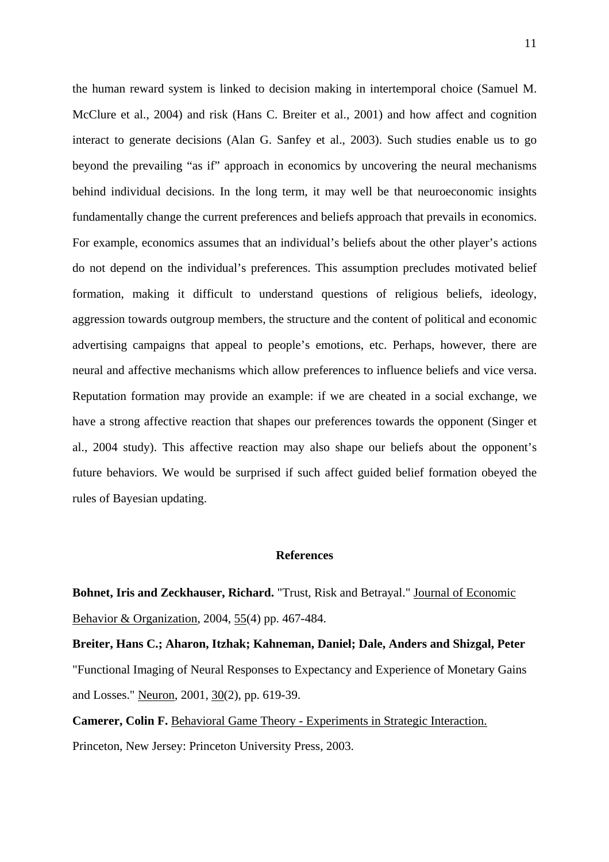the human reward system is linked to decision making in intertemporal choice (Samuel M. McClure et al., 2004) and risk (Hans C. Breiter et al., 2001) and how affect and cognition interact to generate decisions (Alan G. Sanfey et al., 2003). Such studies enable us to go beyond the prevailing "as if" approach in economics by uncovering the neural mechanisms behind individual decisions. In the long term, it may well be that neuroeconomic insights fundamentally change the current preferences and beliefs approach that prevails in economics. For example, economics assumes that an individual's beliefs about the other player's actions do not depend on the individual's preferences. This assumption precludes motivated belief formation, making it difficult to understand questions of religious beliefs, ideology, aggression towards outgroup members, the structure and the content of political and economic advertising campaigns that appeal to people's emotions, etc. Perhaps, however, there are neural and affective mechanisms which allow preferences to influence beliefs and vice versa. Reputation formation may provide an example: if we are cheated in a social exchange, we have a strong affective reaction that shapes our preferences towards the opponent (Singer et al., 2004 study). This affective reaction may also shape our beliefs about the opponent's future behaviors. We would be surprised if such affect guided belief formation obeyed the rules of Bayesian updating.

### **References**

**Bohnet, Iris and Zeckhauser, Richard.** "Trust, Risk and Betrayal." Journal of Economic Behavior & Organization, 2004, 55(4) pp. 467-484.

**Breiter, Hans C.; Aharon, Itzhak; Kahneman, Daniel; Dale, Anders and Shizgal, Peter** "Functional Imaging of Neural Responses to Expectancy and Experience of Monetary Gains and Losses." Neuron, 2001, 30(2), pp. 619-39.

**Camerer, Colin F.** Behavioral Game Theory - Experiments in Strategic Interaction. Princeton, New Jersey: Princeton University Press, 2003.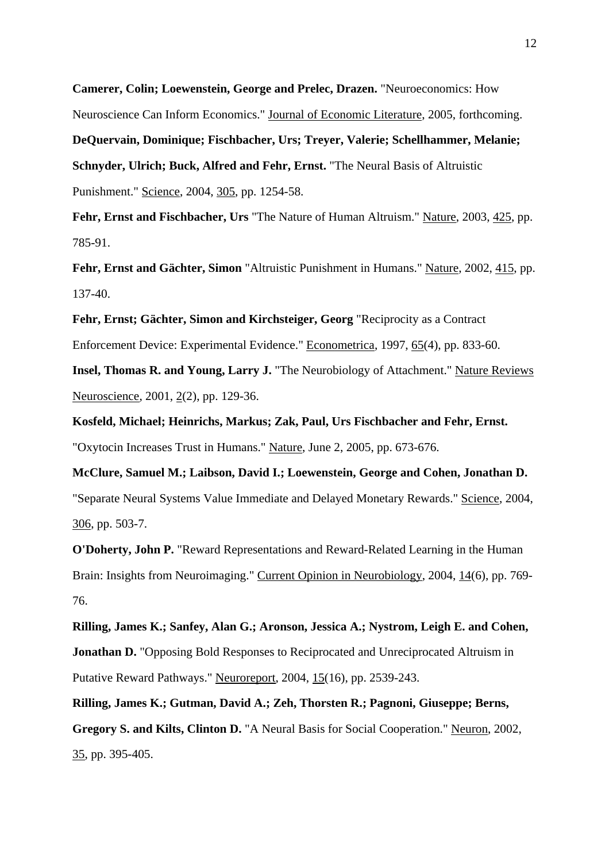**Camerer, Colin; Loewenstein, George and Prelec, Drazen.** "Neuroeconomics: How Neuroscience Can Inform Economics." Journal of Economic Literature, 2005, forthcoming.

**DeQuervain, Dominique; Fischbacher, Urs; Treyer, Valerie; Schellhammer, Melanie;** 

**Schnyder, Ulrich; Buck, Alfred and Fehr, Ernst.** "The Neural Basis of Altruistic

Punishment." Science, 2004, 305, pp. 1254-58.

**Fehr, Ernst and Fischbacher, Urs** "The Nature of Human Altruism." Nature, 2003, 425, pp. 785-91.

**Fehr, Ernst and Gächter, Simon** "Altruistic Punishment in Humans." Nature, 2002, 415, pp. 137-40.

**Fehr, Ernst; Gächter, Simon and Kirchsteiger, Georg** "Reciprocity as a Contract Enforcement Device: Experimental Evidence." Econometrica, 1997, 65(4), pp. 833-60.

**Insel, Thomas R. and Young, Larry J.** "The Neurobiology of Attachment." Nature Reviews Neuroscience, 2001, 2(2), pp. 129-36.

**Kosfeld, Michael; Heinrichs, Markus; Zak, Paul, Urs Fischbacher and Fehr, Ernst.** "Oxytocin Increases Trust in Humans." Nature, June 2, 2005, pp. 673-676.

**McClure, Samuel M.; Laibson, David I.; Loewenstein, George and Cohen, Jonathan D.** "Separate Neural Systems Value Immediate and Delayed Monetary Rewards." Science, 2004, 306, pp. 503-7.

**O'Doherty, John P.** "Reward Representations and Reward-Related Learning in the Human Brain: Insights from Neuroimaging." Current Opinion in Neurobiology, 2004, 14(6), pp. 769- 76.

**Rilling, James K.; Sanfey, Alan G.; Aronson, Jessica A.; Nystrom, Leigh E. and Cohen, Jonathan D.** "Opposing Bold Responses to Reciprocated and Unreciprocated Altruism in Putative Reward Pathways." Neuroreport, 2004, 15(16), pp. 2539-243.

**Rilling, James K.; Gutman, David A.; Zeh, Thorsten R.; Pagnoni, Giuseppe; Berns, Gregory S. and Kilts, Clinton D.** "A Neural Basis for Social Cooperation." Neuron, 2002, 35, pp. 395-405.